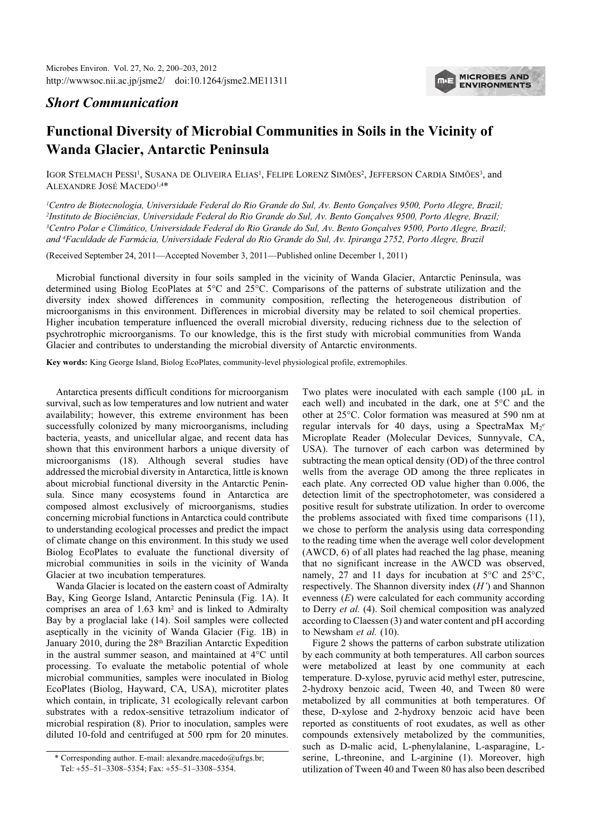

## Short Communication

## Functional Diversity of Microbial Communities in Soils in the Vicinity of Wanda Glacier, Antarctic Peninsula

IGOR STELMACH PESSI<sup>1</sup>, SUSANA DE OLIVEIRA ELIAS<sup>1</sup>, FELIPE LORENZ SIMÕES<sup>2</sup>, JEFFERSON CARDIA SIMÕES<sup>3</sup>, and ALEXANDRE JOSÉ MACEDO1,4\*

<sup>1</sup>Centro de Biotecnologia, Universidade Federal do Rio Grande do Sul, Av. Bento Gonçalves 9500, Porto Alegre, Brazil; <sup>2</sup>Instituto de Biociências, Universidade Federal do Rio Grande do Sul, Av. Bento Gonçalves 9500, Porto Alegre, Brazil; <sup>3</sup>Centro Polar e Climático, Universidade Federal do Rio Grande do Sul, Av. Bento Gonçalves 9500, Porto Alegre, Brazil; and <sup>4</sup>Faculdade de Farmácia, Universidade Federal do Rio Grande do Sul, Av. Ipiranga 2752, Porto Alegre, Brazil

(Received September 24, 2011—Accepted November 3, 2011—Published online December 1, 2011)

Microbial functional diversity in four soils sampled in the vicinity of Wanda Glacier, Antarctic Peninsula, was determined using Biolog EcoPlates at 5°C and 25°C. Comparisons of the patterns of substrate utilization and the diversity index showed differences in community composition, reflecting the heterogeneous distribution of microorganisms in this environment. Differences in microbial diversity may be related to soil chemical properties. Higher incubation temperature influenced the overall microbial diversity, reducing richness due to the selection of psychrotrophic microorganisms. To our knowledge, this is the first study with microbial communities from Wanda Glacier and contributes to understanding the microbial diversity of Antarctic environments.

Key words: King George Island, Biolog EcoPlates, community-level physiological profile, extremophiles.

Antarctica presents difficult conditions for microorganism survival, such as low temperatures and low nutrient and water availability; however, this extreme environment has been successfully colonized by many microorganisms, including bacteria, yeasts, and unicellular algae, and recent data has shown that this environment harbors a unique diversity of microorganisms (18). Although several studies have addressed the microbial diversity in Antarctica, little is known about microbial functional diversity in the Antarctic Peninsula. Since many ecosystems found in Antarctica are composed almost exclusively of microorganisms, studies concerning microbial functions in Antarctica could contribute to understanding ecological processes and predict the impact of climate change on this environment. In this study we used Biolog EcoPlates to evaluate the functional diversity of microbial communities in soils in the vicinity of Wanda Glacier at two incubation temperatures.

Wanda Glacier is located on the eastern coast of Admiralty Bay, King George Island, Antarctic Peninsula (Fig. 1A). It comprises an area of 1.63 km<sup>2</sup> and is linked to Admiralty Bay by a proglacial lake (14). Soil samples were collected aseptically in the vicinity of Wanda Glacier (Fig. 1B) in January 2010, during the 28<sup>th</sup> Brazilian Antarctic Expedition in the austral summer season, and maintained at 4°C until processing. To evaluate the metabolic potential of whole microbial communities, samples were inoculated in Biolog EcoPlates (Biolog, Hayward, CA, USA), microtiter plates which contain, in triplicate, 31 ecologically relevant carbon substrates with a redox-sensitive tetrazolium indicator of microbial respiration (8). Prior to inoculation, samples were diluted 10-fold and centrifuged at 500 rpm for 20 minutes.

Two plates were inoculated with each sample (100 µL in each well) and incubated in the dark, one at 5°C and the other at 25°C. Color formation was measured at 590 nm at regular intervals for 40 days, using a SpectraMax  $M_2^e$ Microplate Reader (Molecular Devices, Sunnyvale, CA, USA). The turnover of each carbon was determined by subtracting the mean optical density (OD) of the three control wells from the average OD among the three replicates in each plate. Any corrected OD value higher than 0.006, the detection limit of the spectrophotometer, was considered a positive result for substrate utilization. In order to overcome the problems associated with fixed time comparisons (11), we chose to perform the analysis using data corresponding to the reading time when the average well color development (AWCD, 6) of all plates had reached the lag phase, meaning that no significant increase in the AWCD was observed, namely, 27 and 11 days for incubation at 5°C and 25°C, respectively. The Shannon diversity index  $(H')$  and Shannon evenness (E) were calculated for each community according to Derry et al. (4). Soil chemical composition was analyzed according to Claessen (3) and water content and pH according to Newsham et al. (10).

Figure 2 shows the patterns of carbon substrate utilization by each community at both temperatures. All carbon sources were metabolized at least by one community at each temperature. D-xylose, pyruvic acid methyl ester, putrescine, 2-hydroxy benzoic acid, Tween 40, and Tween 80 were metabolized by all communities at both temperatures. Of these, D-xylose and 2-hydroxy benzoic acid have been reported as constituents of root exudates, as well as other compounds extensively metabolized by the communities, such as D-malic acid, L-phenylalanine, L-asparagine, Lserine, L-threonine, and L-arginine (1). Moreover, high utilization of Tween 40 and Tween 80 has also been described

<sup>\*</sup> Corresponding author. E-mail: alexandre.macedo@ufrgs.br; Tel: +55–51–3308–5354; Fax: +55–51–3308–5354.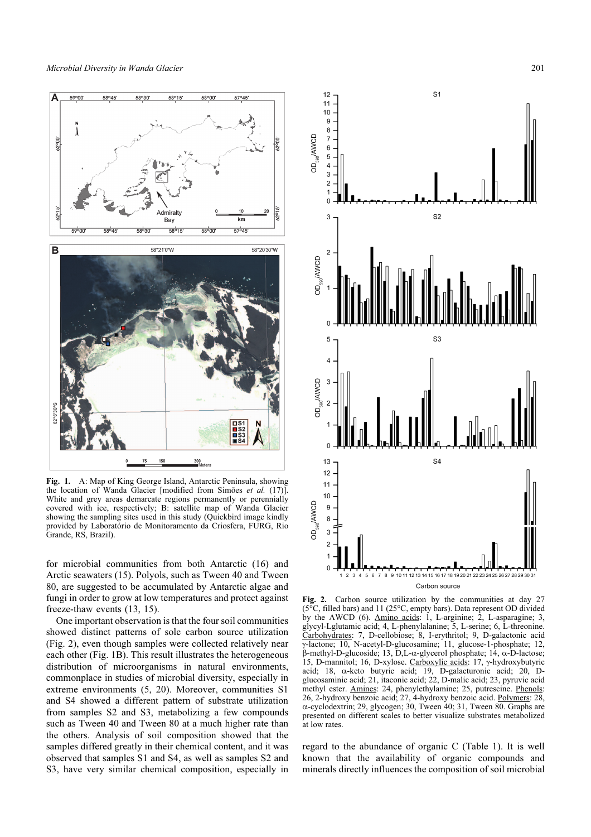

Fig. 1. A: Map of King George Island, Antarctic Peninsula, showing the location of Wanda Glacier [modified from Simões et al. (17)]. White and grey areas demarcate regions permanently or perennially covered with ice, respectively; B: satellite map of Wanda Glacier showing the sampling sites used in this study (Quickbird image kindly provided by Laboratório de Monitoramento da Criosfera, FURG, Rio Grande, RS, Brazil).

for microbial communities from both Antarctic (16) and Arctic seawaters (15). Polyols, such as Tween 40 and Tween 80, are suggested to be accumulated by Antarctic algae and fungi in order to grow at low temperatures and protect against freeze-thaw events (13, 15).

One important observation is that the four soil communities showed distinct patterns of sole carbon source utilization (Fig. 2), even though samples were collected relatively near each other (Fig. 1B). This result illustrates the heterogeneous distribution of microorganisms in natural environments, commonplace in studies of microbial diversity, especially in extreme environments (5, 20). Moreover, communities S1 and S4 showed a different pattern of substrate utilization from samples S2 and S3, metabolizing a few compounds such as Tween 40 and Tween 80 at a much higher rate than the others. Analysis of soil composition showed that the samples differed greatly in their chemical content, and it was observed that samples S1 and S4, as well as samples S2 and S3, have very similar chemical composition, especially in



Fig. 2. Carbon source utilization by the communities at day 27  $\overline{C}$ , filled bars) and 11 (25 $\degree$ C, empty bars). Data represent OD divided by the AWCD (6). Amino acids: 1, L-arginine; 2, L-asparagine; 3, glycyl-Lglutamic acid; 4, L-phenylalanine; 5, L-serine; 6, L-threonine. Carbohydrates: 7, D-cellobiose; 8, I-erythritol; 9, D-galactonic acid γ-lactone; 10, N-acetyl-D-glucosamine; 11, glucose-1-phosphate; 12, β-methyl-D-glucoside; 13, D,L-α-glycerol phosphate; 14, α-D-lactose; 15, D-mannitol; 16, D-xylose. Carboxylic acids: 17, γ-hydroxybutyric acid; 18, α-keto butyric acid; 19, D-galacturonic acid; 20, Dglucosaminic acid; 21, itaconic acid; 22, D-malic acid; 23, pyruvic acid methyl ester. Amines: 24, phenylethylamine; 25, putrescine. Phenols: 26, 2-hydroxy benzoic acid; 27, 4-hydroxy benzoic acid. Polymers: 28, α-cyclodextrin; 29, glycogen; 30, Tween 40; 31, Tween 80. Graphs are presented on different scales to better visualize substrates metabolized at low rates

regard to the abundance of organic C (Table 1). It is well known that the availability of organic compounds and minerals directly influences the composition of soil microbial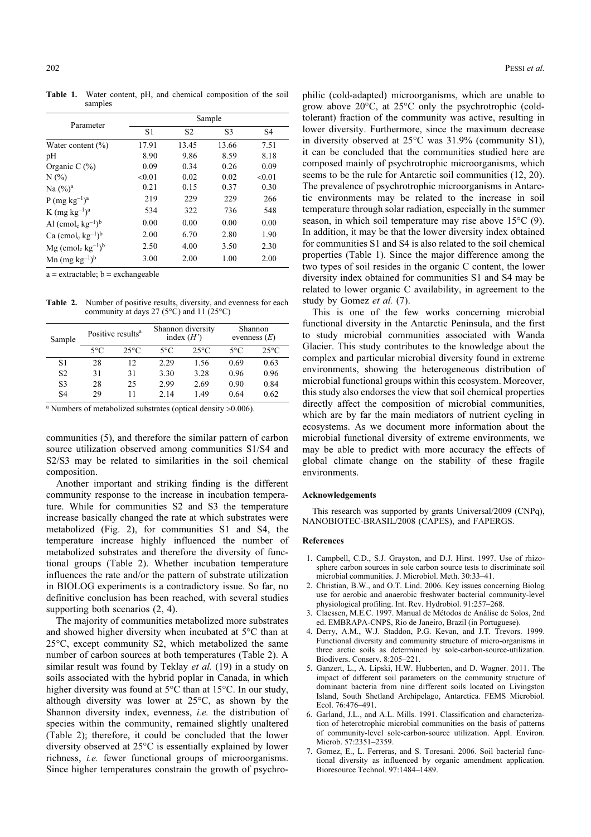Table 1. Water content, pH, and chemical composition of the soil samples

|                                                         | Sample         |                |                |                |  |  |
|---------------------------------------------------------|----------------|----------------|----------------|----------------|--|--|
| Parameter                                               | S <sub>1</sub> | S <sub>2</sub> | S <sub>3</sub> | S <sub>4</sub> |  |  |
| Water content $(\% )$                                   | 17.91          | 13.45          | 13.66          | 7.51           |  |  |
| pH                                                      | 8.90           | 9.86           | 8.59           | 8.18           |  |  |
| Organic C $(\%)$                                        | 0.09           | 0.34           | 0.26           | 0.09           |  |  |
| $N(\%)$                                                 | < 0.01         | 0.02           | 0.02           | < 0.01         |  |  |
| Na $(\frac{9}{6})^a$                                    | 0.21           | 0.15           | 0.37           | 0.30           |  |  |
| P (mg $kg^{-1}$ ) <sup>a</sup>                          | 219            | 229            | 229            | 266            |  |  |
| $K$ (mg $kg^{-1}$ ) <sup>a</sup>                        | 534            | 322            | 736            | 548            |  |  |
| Al $(\text{cmol}_c \text{ kg}^{-1})^b$                  | 0.00           | 0.00           | 0.00           | 0.00           |  |  |
| Ca $(\text{cmol}_c \text{ kg}^{-1})^b$                  | 2.00           | 6.70           | 2.80           | 1.90           |  |  |
| $Mg$ (cmol <sub>c</sub> kg <sup>-1</sup> ) <sup>b</sup> | 2.50           | 4.00           | 3.50           | 2.30           |  |  |
| Mn $(mg kg^{-1})^b$                                     | 3.00           | 2.00           | 1.00           | 2.00           |  |  |

 $a =$  extractable;  $b =$  exchangeable

Table 2. Number of positive results, diversity, and evenness for each community at days 27 (5 $^{\circ}$ C) and 11 (25 $^{\circ}$ C)

| Sample         | Positive results <sup>a</sup> |                | Shannon diversity<br>index $(H')$ |                | Shannon<br>evenness $(E)$ |                |
|----------------|-------------------------------|----------------|-----------------------------------|----------------|---------------------------|----------------|
|                | $5^{\circ}$ C                 | $25^{\circ}$ C | $5^{\circ}$ C                     | $25^{\circ}$ C | $5^{\circ}C$              | $25^{\circ}$ C |
| S1             | 28                            | 12             | 2.29                              | 1.56           | 0.69                      | 0.63           |
| S <sub>2</sub> | 31                            | 31             | 3.30                              | 3.28           | 0.96                      | 0.96           |
| S <sub>3</sub> | 28                            | 25             | 2.99                              | 2.69           | 0.90                      | 0.84           |
| <b>S4</b>      | 29                            | 11             | 2.14                              | 1.49           | 0.64                      | 0.62           |

<sup>a</sup> Numbers of metabolized substrates (optical density >0.006).

communities (5), and therefore the similar pattern of carbon source utilization observed among communities S1/S4 and S2/S3 may be related to similarities in the soil chemical composition.

Another important and striking finding is the different community response to the increase in incubation temperature. While for communities S2 and S3 the temperature increase basically changed the rate at which substrates were metabolized (Fig. 2), for communities S1 and S4, the temperature increase highly influenced the number of metabolized substrates and therefore the diversity of functional groups (Table 2). Whether incubation temperature influences the rate and/or the pattern of substrate utilization in BIOLOG experiments is a contradictory issue. So far, no definitive conclusion has been reached, with several studies supporting both scenarios (2, 4).

The majority of communities metabolized more substrates and showed higher diversity when incubated at 5°C than at 25°C, except community S2, which metabolized the same number of carbon sources at both temperatures (Table 2). A similar result was found by Teklay *et al.* (19) in a study on soils associated with the hybrid poplar in Canada, in which higher diversity was found at 5°C than at 15°C. In our study, although diversity was lower at 25°C, as shown by the Shannon diversity index, evenness, i.e. the distribution of species within the community, remained slightly unaltered (Table 2); therefore, it could be concluded that the lower diversity observed at 25°C is essentially explained by lower richness, i.e. fewer functional groups of microorganisms. Since higher temperatures constrain the growth of psychro-

philic (cold-adapted) microorganisms, which are unable to grow above 20°C, at 25°C only the psychrotrophic (coldtolerant) fraction of the community was active, resulting in lower diversity. Furthermore, since the maximum decrease in diversity observed at 25°C was 31.9% (community S1), it can be concluded that the communities studied here are composed mainly of psychrotrophic microorganisms, which seems to be the rule for Antarctic soil communities (12, 20). The prevalence of psychrotrophic microorganisms in Antarctic environments may be related to the increase in soil temperature through solar radiation, especially in the summer season, in which soil temperature may rise above 15°C (9). In addition, it may be that the lower diversity index obtained for communities S1 and S4 is also related to the soil chemical properties (Table 1). Since the major difference among the two types of soil resides in the organic C content, the lower diversity index obtained for communities S1 and S4 may be related to lower organic C availability, in agreement to the study by Gomez et al. (7).

This is one of the few works concerning microbial functional diversity in the Antarctic Peninsula, and the first to study microbial communities associated with Wanda Glacier. This study contributes to the knowledge about the complex and particular microbial diversity found in extreme environments, showing the heterogeneous distribution of microbial functional groups within this ecosystem. Moreover, this study also endorses the view that soil chemical properties directly affect the composition of microbial communities, which are by far the main mediators of nutrient cycling in ecosystems. As we document more information about the microbial functional diversity of extreme environments, we may be able to predict with more accuracy the effects of global climate change on the stability of these fragile environments.

## Acknowledgements

This research was supported by grants Universal/2009 (CNPq), NANOBIOTEC-BRASIL/2008 (CAPES), and FAPERGS.

## References

- 1. Campbell, C.D., S.J. Grayston, and D.J. Hirst. 1997. Use of rhizosphere carbon sources in sole carbon source tests to discriminate soil microbial communities. J. Microbiol. Meth. 30:33–41.
- 2. Christian, B.W., and O.T. Lind. 2006. Key issues concerning Biolog use for aerobic and anaerobic freshwater bacterial community-level physiological profiling. Int. Rev. Hydrobiol. 91:257–268.
- 3. Claessen, M.E.C. 1997. Manual de Métodos de Análise de Solos, 2nd ed. EMBRAPA-CNPS, Rio de Janeiro, Brazil (in Portuguese).
- 4. Derry, A.M., W.J. Staddon, P.G. Kevan, and J.T. Trevors. 1999. Functional diversity and community structure of micro-organisms in three arctic soils as determined by sole-carbon-source-utilization. Biodivers. Conserv. 8:205–221.
- 5. Ganzert, L., A. Lipski, H.W. Hubberten, and D. Wagner. 2011. The impact of different soil parameters on the community structure of dominant bacteria from nine different soils located on Livingston Island, South Shetland Archipelago, Antarctica. FEMS Microbiol. Ecol. 76:476–491.
- 6. Garland, J.L., and A.L. Mills. 1991. Classification and characterization of heterotrophic microbial communities on the basis of patterns of community-level sole-carbon-source utilization. Appl. Environ. Microb. 57:2351–2359.
- 7. Gomez, E., L. Ferreras, and S. Toresani. 2006. Soil bacterial functional diversity as influenced by organic amendment application. Bioresource Technol. 97:1484–1489.